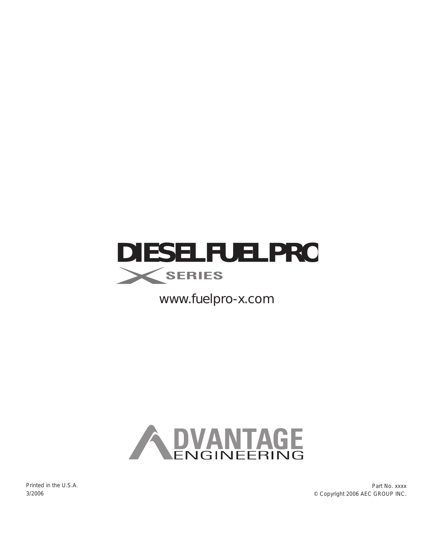

*www.fuelpro-x.com*

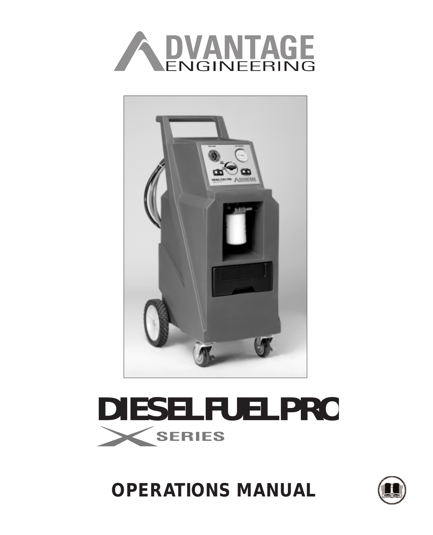



# **DIESEL FUELPRO SERIES**

**OPERATIONS MANUAL**

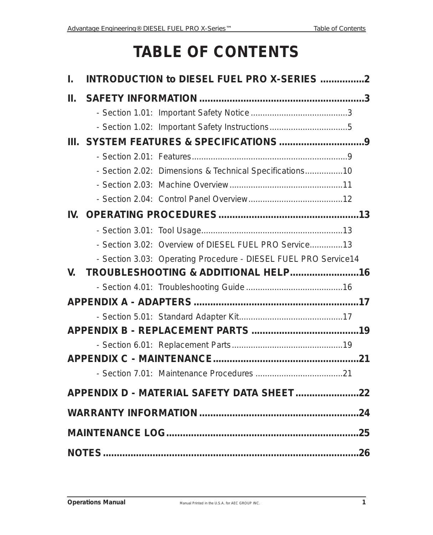# **TABLE OF CONTENTS**

| L.  | INTRODUCTION to DIESEL FUEL PRO X-SERIES 2 |                                                                 |  |  |  |
|-----|--------------------------------------------|-----------------------------------------------------------------|--|--|--|
| Ш.  |                                            |                                                                 |  |  |  |
|     |                                            |                                                                 |  |  |  |
|     |                                            |                                                                 |  |  |  |
|     |                                            |                                                                 |  |  |  |
|     |                                            |                                                                 |  |  |  |
|     |                                            | - Section 2.02: Dimensions & Technical Specifications10         |  |  |  |
|     |                                            |                                                                 |  |  |  |
|     |                                            |                                                                 |  |  |  |
| IV. |                                            |                                                                 |  |  |  |
|     |                                            |                                                                 |  |  |  |
|     |                                            | - Section 3.02: Overview of DIESEL FUEL PRO Service13           |  |  |  |
|     |                                            | - Section 3.03: Operating Procedure - DIESEL FUEL PRO Service14 |  |  |  |
| V.  |                                            | TROUBLESHOOTING & ADDITIONAL HELP16                             |  |  |  |
|     |                                            |                                                                 |  |  |  |
|     |                                            |                                                                 |  |  |  |
|     |                                            |                                                                 |  |  |  |
|     |                                            |                                                                 |  |  |  |
|     |                                            |                                                                 |  |  |  |
|     |                                            |                                                                 |  |  |  |
|     |                                            |                                                                 |  |  |  |
|     |                                            |                                                                 |  |  |  |
|     |                                            |                                                                 |  |  |  |
|     |                                            |                                                                 |  |  |  |
|     |                                            |                                                                 |  |  |  |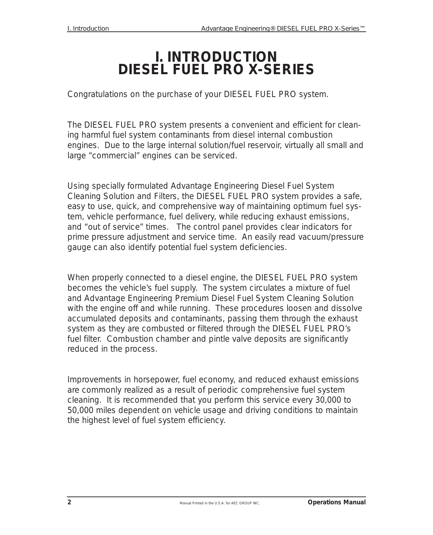### **I. INTRODUCTION DIESEL FUEL PRO X-SERIES**

Congratulations on the purchase of your DIESEL FUEL PRO system.

The DIESEL FUEL PRO system presents a convenient and efficient for cleaning harmful fuel system contaminants from diesel internal combustion engines. Due to the large internal solution/fuel reservoir, virtually all small and large "commercial" engines can be serviced.

Using specially formulated Advantage Engineering Diesel Fuel System Cleaning Solution and Filters, the DIESEL FUEL PRO system provides a safe, easy to use, quick, and comprehensive way of maintaining optimum fuel system, vehicle performance, fuel delivery, while reducing exhaust emissions, and "out of service" times. The control panel provides clear indicators for prime pressure adjustment and service time. An easily read vacuum/pressure gauge can also identify potential fuel system deficiencies.

When properly connected to a diesel engine, the DIESEL FUEL PRO system becomes the vehicle's fuel supply. The system circulates a mixture of fuel and Advantage Engineering Premium Diesel Fuel System Cleaning Solution with the engine off and while running. These procedures loosen and dissolve accumulated deposits and contaminants, passing them through the exhaust system as they are combusted or filtered through the DIESEL FUEL PRO's fuel filter. Combustion chamber and pintle valve deposits are significantly reduced in the process.

Improvements in horsepower, fuel economy, and reduced exhaust emissions are commonly realized as a result of periodic comprehensive fuel system cleaning. It is recommended that you perform this service every 30,000 to 50,000 miles dependent on vehicle usage and driving conditions to maintain the highest level of fuel system efficiency.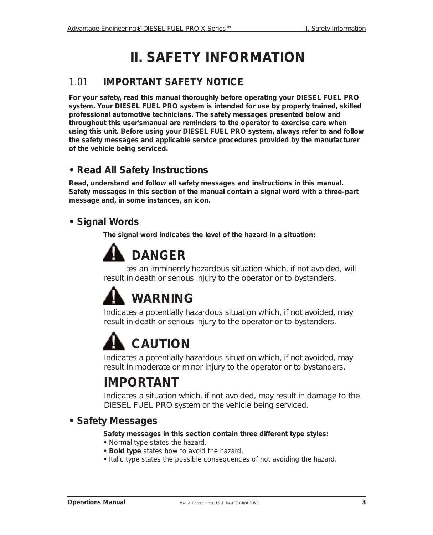# **II. SAFETY INFORMATION**

#### *1.01* **IMPORTANT SAFETY NOTICE**

**For your safety, read this manual thoroughly before operating your DIESEL FUEL PRO system. Your DIESEL FUEL PRO system is intended for use by properly trained, skilled professional automotive technicians. The safety messages presented below and throughout this user'smanual are reminders to the operator to exercise care when using this unit. Before using your DIESEL FUEL PRO system, always refer to and follow the safety messages and applicable service procedures provided by the manufacturer of the vehicle being serviced.**

#### **• Read All Safety Instructions**

**Read, understand and follow all safety messages and instructions in this manual. Safety messages in this section of the manual contain a signal word with a three-part message and, in some instances, an icon.**

#### **• Signal Words**

**The signal word indicates the level of the hazard in a situation:**

# **DANGER**

*Indicates an imminently hazardous situation which, if not avoided, will result in death or serious injury to the operator or to bystanders.*

# **WARNING**

*Indicates a potentially hazardous situation which, if not avoided, may result in death or serious injury to the operator or to bystanders.*

# **CAUTION**

*Indicates a potentially hazardous situation which, if not avoided, may result in moderate or minor injury to the operator or to bystanders.*

### **IMPORTANT**

*Indicates a situation which, if not avoided, may result in damage to the DIESEL FUEL PRO system or the vehicle being serviced.*

#### **• Safety Messages**

**Safety messages in this section contain three different type styles:**

- **•** Normal type states the hazard.
- **Bold type** states how to avoid the hazard.
- *Italic type* states the possible consequences of not avoiding the hazard.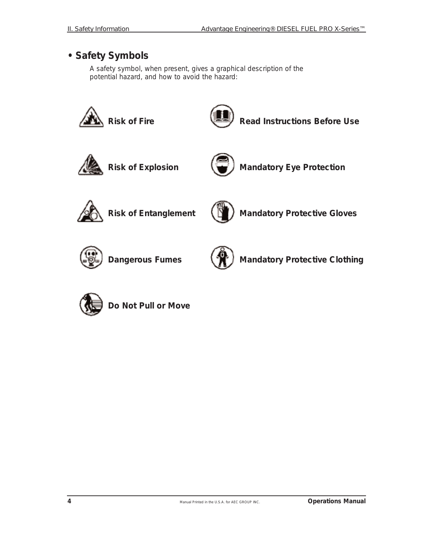#### **• Safety Symbols**

A safety symbol, when present, gives a graphical description of the potential hazard, and how to avoid the hazard:



**Do Not Pull or Move**

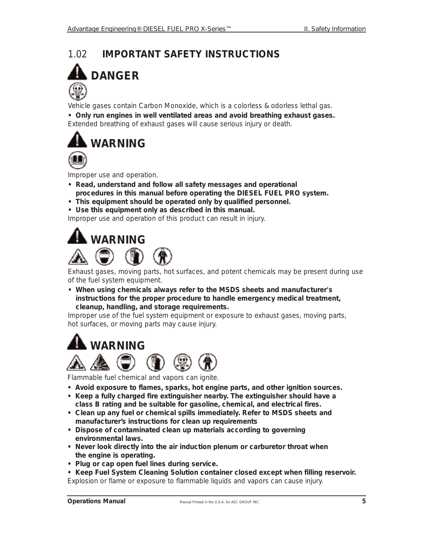#### *1.02* **IMPORTANT SAFETY INSTRUCTIONS**



Vehicle gases contain Carbon Monoxide, which is a colorless & odorless lethal gas.

**• Only run engines in well ventilated areas and avoid breathing exhaust gases.** *Extended breathing of exhaust gases will cause serious injury or death.*



Improper use and operation.

- **Read, understand and follow all safety messages and operational procedures in this manual before operating the DIESEL FUEL PRO system.**
- **• This equipment should be operated only by qualified personnel.**
- **• Use this equipment only as described in this manual.**

*Improper use and operation of this product can result in injury.*



Exhaust gases, moving parts, hot surfaces, and potent chemicals may be present during use of the fuel system equipment.

**• When using chemicals always refer to the MSDS sheets and manufacturer's instructions for the proper procedure to handle emergency medical treatment, cleanup, handling, and storage requirements.**

*Improper use of the fuel system equipment or exposure to exhaust gases, moving parts, hot surfaces, or moving parts may cause injury.*





Flammable fuel chemical and vapors can ignite.

- **Avoid exposure to flames, sparks, hot engine parts, and other ignition sources.**
- **• Keep a fully charged fire extinguisher nearby. The extinguisher should have a class B rating and be suitable for gasoline, chemical, and electrical fires.**
- **Clean up any fuel or chemical spills immediately. Refer to MSDS sheets and manufacturer's instructions for clean up requirements**
- **Dispose of contaminated clean up materials according to governing environmental laws.**
- **Never look directly into the air induction plenum or carburetor throat when the engine is operating.**
- **Plug or cap open fuel lines during service.**
- **Keep Fuel System Cleaning Solution container closed except when filling reservoir.** *Explosion or flame or exposure to flammable liquids and vapors can cause injury.*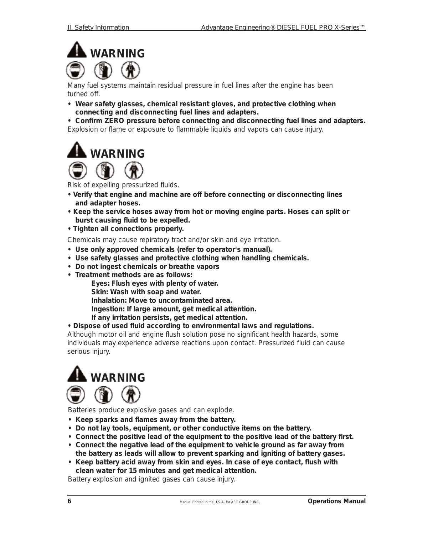

Many fuel systems maintain residual pressure in fuel lines after the engine has been turned off.

- **Wear safety glasses, chemical resistant gloves, and protective clothing when connecting and disconnecting fuel lines and adapters.**
- **Confirm ZERO pressure before connecting and disconnecting fuel lines and adapters.** *Explosion or flame or exposure to flammable liquids and vapors can cause injury.*





Risk of expelling pressurized fluids.

- **Verify that engine and machine are off before connecting or disconnecting lines and adapter hoses.**
- **Keep the service hoses away from hot or moving engine parts. Hoses can split or burst causing fluid to be expelled.**
- **Tighten all connections properly.**

Chemicals may cause repiratory tract and/or skin and eye irritation.

- **• Use only approved chemicals (refer to operator's manual).**
- **Use safety glasses and protective clothing when handling chemicals.**
- **Do not ingest chemicals or breathe vapors**
- **Treatment methods are as follows:**

**Eyes: Flush eyes with plenty of water.**

**Skin: Wash with soap and water.**

**Inhalation: Move to uncontaminated area.**

**Ingestion: If large amount, get medical attention.**

**If any irritation persists, get medical attention.**

**• Dispose of used fluid according to environmental laws and regulations.**

*Although motor oil and engine flush solution pose no significant health hazards, some individuals may experience adverse reactions upon contact. Pressurized fluid can cause serious injury.*



Batteries produce explosive gases and can explode.

- **Keep sparks and flames away from the battery.**
- **Do not lay tools, equipment, or other conductive items on the battery.**
- **Connect the positive lead of the equipment to the positive lead of the battery first.**
- **Connect the negative lead of the equipment to vehicle ground as far away from the battery as leads will allow to prevent sparking and igniting of battery gases.**
- **Keep battery acid away from skin and eyes. In case of eye contact, flush with clean water for 15 minutes and get medical attention.**

*Battery explosion and ignited gases can cause injury.*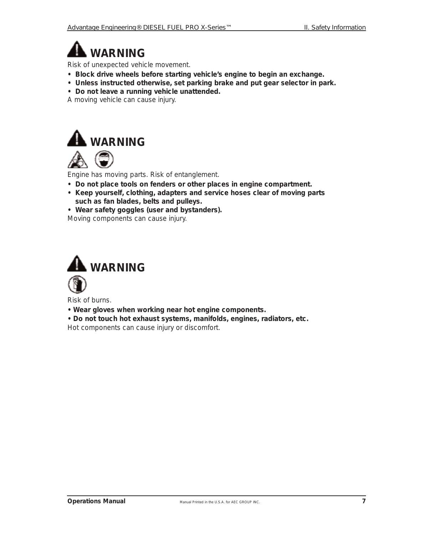**WARNING**

Risk of unexpected vehicle movement.

- **Block drive wheels before starting vehicle's engine to begin an exchange.**
- **Unless instructed otherwise, set parking brake and put gear selector in park.**
- **Do not leave a running vehicle unattended.**

*A moving vehicle can cause injury.*





Engine has moving parts. Risk of entanglement.

- **Do not place tools on fenders or other places in engine compartment.**
- **Keep yourself, clothing, adapters and service hoses clear of moving parts such as fan blades, belts and pulleys.**
- **Wear safety goggles (user and bystanders).**

*Moving components can cause injury.*



Risk of burns.

**• Wear gloves when working near hot engine components.**

**• Do not touch hot exhaust systems, manifolds, engines, radiators, etc.** *Hot components can cause injury or discomfort.*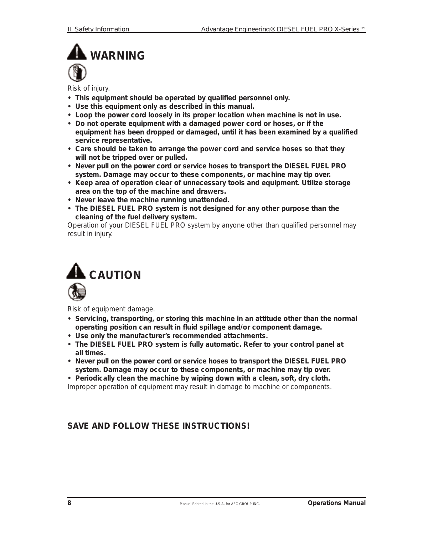# **WARNING**

Risk of injury.

- **This equipment should be operated by qualified personnel only.**
- **Use this equipment only as described in this manual.**
- **Loop the power cord loosely in its proper location when machine is not in use.**
- **Do not operate equipment with a damaged power cord or hoses, or if the equipment has been dropped or damaged, until it has been examined by a qualified service representative.**
- **Care should be taken to arrange the power cord and service hoses so that they will not be tripped over or pulled.**
- **Never pull on the power cord or service hoses to transport the DIESEL FUEL PRO system. Damage may occur to these components, or machine may tip over.**
- **Keep area of operation clear of unnecessary tools and equipment. Utilize storage area on the top of the machine and drawers.**
- **Never leave the machine running unattended.**
- **The DIESEL FUEL PRO system is not designed for any other purpose than the cleaning of the fuel delivery system.**

*Operation of your DIESEL FUEL PRO system by anyone other than qualified personnel may result in injury.*



Risk of equipment damage.

- **Servicing, transporting, or storing this machine in an attitude other than the normal operating position can result in fluid spillage and/or component damage.**
- **Use only the manufacturer's recommended attachments.**
- **The DIESEL FUEL PRO system is fully automatic. Refer to your control panel at all times.**
- **Never pull on the power cord or service hoses to transport the DIESEL FUEL PRO system. Damage may occur to these components, or machine may tip over.**

**• Periodically clean the machine by wiping down with a clean, soft, dry cloth.**

*Improper operation of equipment may result in damage to machine or components.*

#### **SAVE AND FOLLOW THESE INSTRUCTIONS!**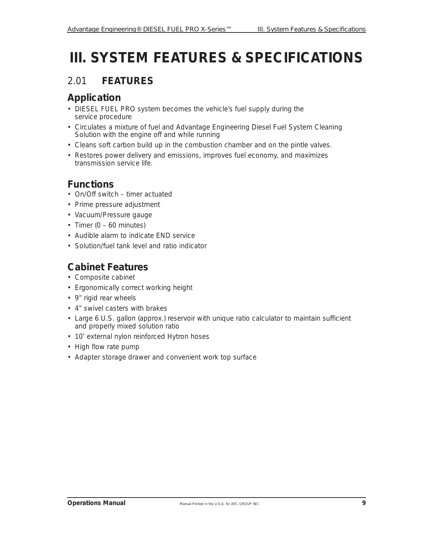# **III. SYSTEM FEATURES & SPECIFICATIONS**

#### *2.01* **FEATURES**

#### **Application**

- DIESEL FUEL PRO system becomes the vehicle's fuel supply during the service procedure
- Circulates a mixture of fuel and Advantage Engineering Diesel Fuel System Cleaning Solution with the engine off and while running
- Cleans soft carbon build up in the combustion chamber and on the pintle valves.
- Restores power delivery and emissions, improves fuel economy, and maximizes transmission service life.

#### **Functions**

- On/Off switch timer actuated
- Prime pressure adjustment
- Vacuum/Pressure gauge
- Timer  $(0 60$  minutes)
- Audible alarm to indicate END service
- Solution/fuel tank level and ratio indicator

#### **Cabinet Features**

- Composite cabinet
- Ergonomically correct working height
- 9" rigid rear wheels
- 4" swivel casters with brakes
- Large 6 U.S. gallon (approx.) reservoir with unique ratio calculator to maintain sufficient and properly mixed solution ratio
- 10' external nylon reinforced Hytron hoses
- High flow rate pump
- Adapter storage drawer and convenient work top surface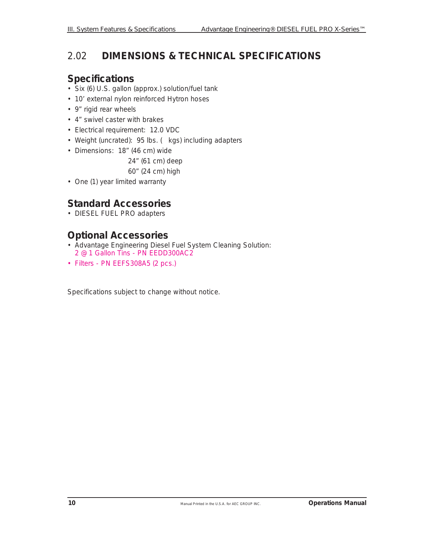#### *2.02* **DIMENSIONS & TECHNICAL SPECIFICATIONS**

#### **Specifications**

- Six (6) U.S. gallon (approx.) solution/fuel tank
- 10' external nylon reinforced Hytron hoses
- 9" rigid rear wheels
- 4" swivel caster with brakes
- Electrical requirement: 12.0 VDC
- Weight (uncrated): 95 lbs. ( kgs) including adapters
- Dimensions: 18" (46 cm) wide

24" (61 cm) deep

60" (24 cm) high

• One (1) year limited warranty

#### **Standard Accessories**

• DIESEL FUEL PRO adapters

#### **Optional Accessories**

- Advantage Engineering Diesel Fuel System Cleaning Solution: 2 @ 1 Gallon Tins - PN EEDD300AC2
- Filters PN EEFS308A5 (2 pcs.)

Specifications subject to change without notice.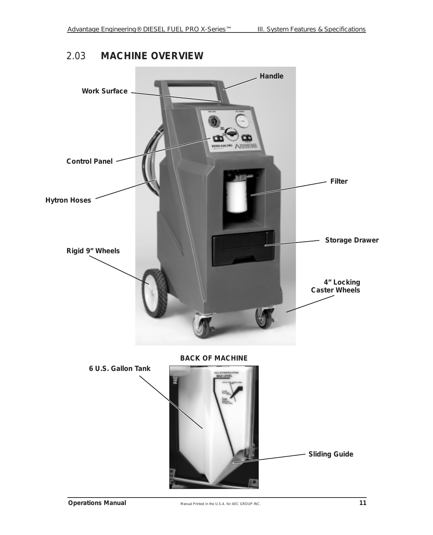#### *2.03* **MACHINE OVERVIEW**

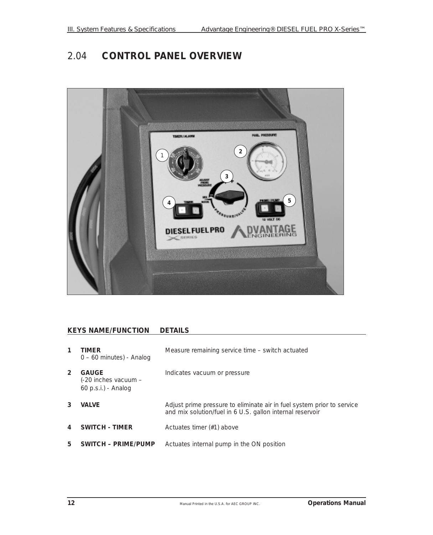#### *2.04* **CONTROL PANEL OVERVIEW**



#### **KEYS NAME/FUNCTION DETAILS**

| 1              | TIMER<br>$0 - 60$ minutes) - Analog                           | Measure remaining service time – switch actuated                                                                                    |
|----------------|---------------------------------------------------------------|-------------------------------------------------------------------------------------------------------------------------------------|
| $\overline{2}$ | <b>GAUGE</b><br>(-20 inches vacuum –<br>$60$ p.s.i.) - Analog | Indicates vacuum or pressure                                                                                                        |
| 3              | <b>VALVE</b>                                                  | Adjust prime pressure to eliminate air in fuel system prior to service<br>and mix solution/fuel in 6 U.S. gallon internal reservoir |
| 4              | <b>SWITCH - TIMER</b>                                         | Actuates timer (#1) above                                                                                                           |
| 5              | <b>SWITCH - PRIME/PUMP</b>                                    | Actuates internal pump in the ON position                                                                                           |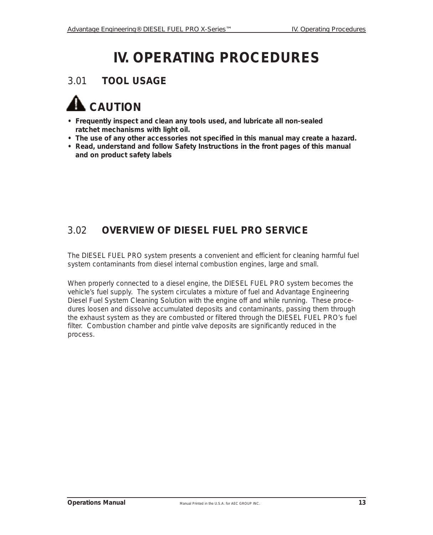# **IV. OPERATING PROCEDURES**

#### *3.01* **TOOL USAGE**



- **Frequently inspect and clean any tools used, and lubricate all non-sealed ratchet mechanisms with light oil.**
- **The use of any other accessories not specified in this manual may create a hazard.**
- **Read, understand and follow Safety Instructions in the front pages of this manual and on product safety labels**

#### *3.02* **OVERVIEW OF DIESEL FUEL PRO SERVICE**

The DIESEL FUEL PRO system presents a convenient and efficient for cleaning harmful fuel system contaminants from diesel internal combustion engines, large and small.

When properly connected to a diesel engine, the DIESEL FUEL PRO system becomes the vehicle's fuel supply. The system circulates a mixture of fuel and Advantage Engineering Diesel Fuel System Cleaning Solution with the engine off and while running. These procedures loosen and dissolve accumulated deposits and contaminants, passing them through the exhaust system as they are combusted or filtered through the DIESEL FUEL PRO's fuel filter. Combustion chamber and pintle valve deposits are significantly reduced in the process.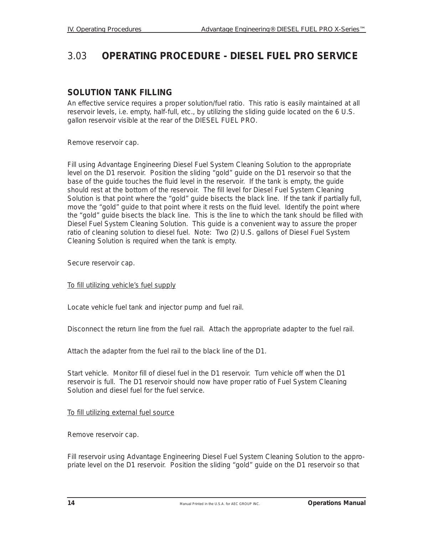#### *3.03* **OPERATING PROCEDURE - DIESEL FUEL PRO SERVICE**

#### **SOLUTION TANK FILLING**

An effective service requires a proper solution/fuel ratio. This ratio is easily maintained at all reservoir levels, i.e. empty, half-full, etc., by utilizing the sliding guide located on the 6 U.S. gallon reservoir visible at the rear of the DIESEL FUEL PRO.

Remove reservoir cap.

Fill using Advantage Engineering Diesel Fuel System Cleaning Solution to the appropriate level on the D1 reservoir. Position the sliding "gold" guide on the D1 reservoir so that the base of the guide touches the fluid level in the reservoir. If the tank is empty, the guide should rest at the bottom of the reservoir. The fill level for Diesel Fuel System Cleaning Solution is that point where the "gold" guide bisects the black line. If the tank if partially full, move the "gold" guide to that point where it rests on the fluid level. Identify the point where the "gold" guide bisects the black line. This is the line to which the tank should be filled with Diesel Fuel System Cleaning Solution. This guide is a convenient way to assure the proper ratio of cleaning solution to diesel fuel. Note: Two (2) U.S. gallons of Diesel Fuel System Cleaning Solution is required when the tank is empty.

Secure reservoir cap.

To fill utilizing vehicle's fuel supply

Locate vehicle fuel tank and injector pump and fuel rail.

Disconnect the return line from the fuel rail. Attach the appropriate adapter to the fuel rail.

Attach the adapter from the fuel rail to the black line of the D1.

Start vehicle. Monitor fill of diesel fuel in the D1 reservoir. Turn vehicle off when the D1 reservoir is full. The D1 reservoir should now have proper ratio of Fuel System Cleaning Solution and diesel fuel for the fuel service.

#### To fill utilizing external fuel source

Remove reservoir cap.

Fill reservoir using Advantage Engineering Diesel Fuel System Cleaning Solution to the appropriate level on the D1 reservoir. Position the sliding "gold" guide on the D1 reservoir so that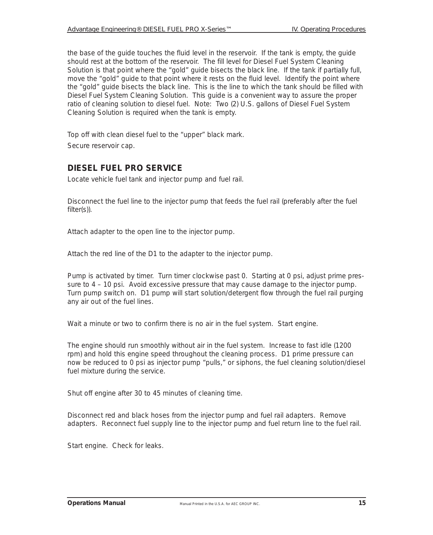the base of the guide touches the fluid level in the reservoir. If the tank is empty, the guide should rest at the bottom of the reservoir. The fill level for Diesel Fuel System Cleaning Solution is that point where the "gold" guide bisects the black line. If the tank if partially full, move the "gold" guide to that point where it rests on the fluid level. Identify the point where the "gold" guide bisects the black line. This is the line to which the tank should be filled with Diesel Fuel System Cleaning Solution. This guide is a convenient way to assure the proper ratio of cleaning solution to diesel fuel. Note: Two (2) U.S. gallons of Diesel Fuel System Cleaning Solution is required when the tank is empty.

Top off with clean diesel fuel to the "upper" black mark. Secure reservoir cap.

#### **DIESEL FUEL PRO SERVICE**

Locate vehicle fuel tank and injector pump and fuel rail.

Disconnect the fuel line to the injector pump that feeds the fuel rail (preferably after the fuel filter(s)).

Attach adapter to the open line to the injector pump.

Attach the red line of the D1 to the adapter to the injector pump.

Pump is activated by timer. Turn timer clockwise past 0. Starting at 0 psi, adjust prime pressure to 4 – 10 psi. Avoid excessive pressure that may cause damage to the injector pump. Turn pump switch on. D1 pump will start solution/detergent flow through the fuel rail purging any air out of the fuel lines.

Wait a minute or two to confirm there is no air in the fuel system. Start engine.

The engine should run smoothly without air in the fuel system. Increase to fast idle (1200 rpm) and hold this engine speed throughout the cleaning process. D1 prime pressure can now be reduced to 0 psi as injector pump "pulls," or siphons, the fuel cleaning solution/diesel fuel mixture during the service.

Shut off engine after 30 to 45 minutes of cleaning time.

Disconnect red and black hoses from the injector pump and fuel rail adapters. Remove adapters. Reconnect fuel supply line to the injector pump and fuel return line to the fuel rail.

Start engine. Check for leaks.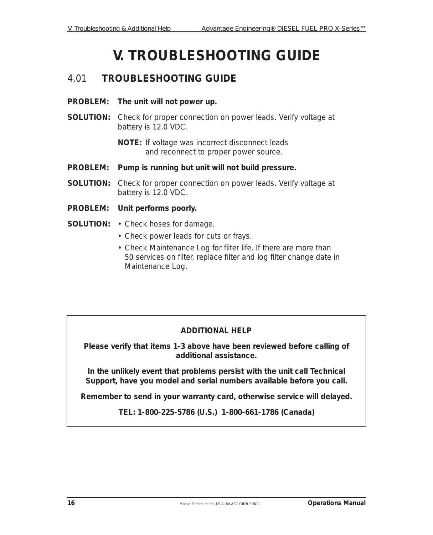# **V. TROUBLESHOOTING GUIDE**

#### *4.01* **TROUBLESHOOTING GUIDE**

- **PROBLEM: The unit will not power up.**
- **SOLUTION:** Check for proper connection on power leads. Verify voltage at battery is 12.0 VDC.

**NOTE:** If voltage was incorrect disconnect leads and reconnect to proper power source.

- **PROBLEM: Pump is running but unit will not build pressure.**
- **SOLUTION:** Check for proper connection on power leads. Verify voltage at battery is 12.0 VDC.
- **PROBLEM: Unit performs poorly.**
- **SOLUTION:** Check hoses for damage.
	- Check power leads for cuts or frays.
	- Check Maintenance Log for filter life. If there are more than 50 services on filter, replace filter and log filter change date in Maintenance Log.

#### **ADDITIONAL HELP**

**Please verify that items 1-3 above have been reviewed before calling of additional assistance.**

**In the unlikely event that problems persist with the unit call Technical Support, have you model and serial numbers available before you call.** 

**Remember to send in your warranty card, otherwise service will delayed.**

**TEL: 1-800-225-5786 (U.S.) 1-800-661-1786 (Canada)**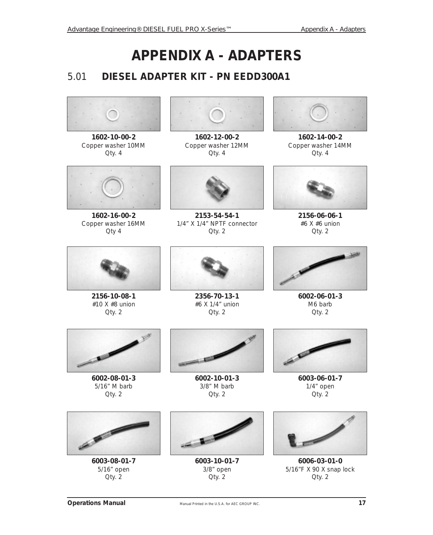# **APPENDIX A - ADAPTERS**

#### *5.01* **DIESEL ADAPTER KIT - PN EEDD300A1**



**1602-10-00-2** Copper washer 10MM Qty. 4



**1602-16-00-2** Copper washer 16MM Qty 4



**1602-12-00-2** Copper washer 12MM Qty. 4



**2153-54-54-1** 1/4" X 1/4" NPTF connector Qty. 2



**1602-14-00-2** Copper washer 14MM Qty. 4



**2156-06-06-1** #6 X #6 union Qty. 2



**2156-10-08-1** #10 X #8 union Qty. 2



**2356-70-13-1** #6 X 1/4" union Qty. 2



**6002-06-01-3** M6 barb Qty. 2



**6002-08-01-3** 5/16" M barb Qty. 2



**6002-10-01-3** 3/8" M barb Qty. 2



**6003-06-01-7** 1/4" open Qty. 2



**6003-08-01-7** 5/16" open Qty. 2



**6003-10-01-7** 3/8" open Qty. 2



**6006-03-01-0** 5/16"F X 90 X snap lock Qty. 2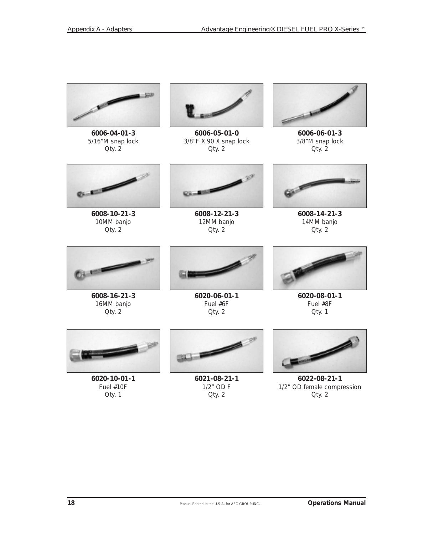

**6006-04-01-3** 5/16"M snap lock Qty. 2



**6006-05-01-0** 3/8"F X 90 X snap lock Qty. 2



**6006-06-01-3** 3/8"M snap lock Qty. 2



**6008-10-21-3** 10MM banjo Qty. 2



**6008-12-21-3** 12MM banjo Qty. 2



**6008-14-21-3** 14MM banjo Qty. 2



**6008-16-21-3** 16MM banjo Qty. 2



**6020-06-01-1** Fuel #6F Qty. 2



**6020-08-01-1** Fuel #8F Qty. 1



**6020-10-01-1** Fuel #10F Qty. 1



**6021-08-21-1** 1/2" OD F Qty. 2



**6022-08-21-1** 1/2" OD female compression Qty. 2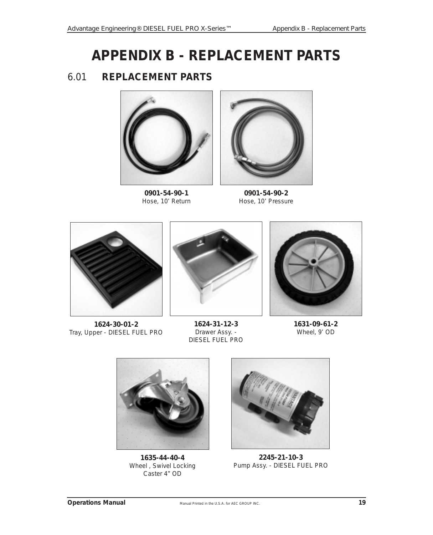# **APPENDIX B - REPLACEMENT PARTS**

#### *6.01* **REPLACEMENT PARTS**



**0901-54-90-1** Hose, 10' Return



**0901-54-90-2** Hose, 10' Pressure



**1624-30-01-2** Tray, Upper - DIESEL FUEL PRO



**1624-31-12-3** Drawer Assy. - DIESEL FUEL PRO



**1631-09-61-2** Wheel, 9' OD



**1635-44-40-4** Wheel , Swivel Locking Caster 4" OD



**2245-21-10-3** Pump Assy. - DIESEL FUEL PRO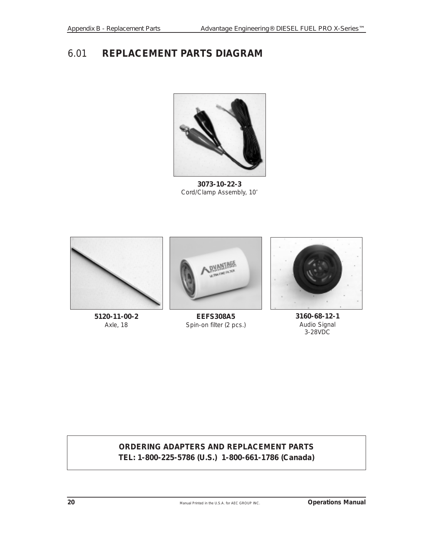#### *6.01* **REPLACEMENT PARTS DIAGRAM**



**3073-10-22-3** Cord/Clamp Assembly, 10'



**5120-11-00-2** Axle, 18



**EEFS308A5** Spin-on filter (2 pcs.)



**3160-68-12-1** Audio Signal 3-28VDC

#### **ORDERING ADAPTERS AND REPLACEMENT PARTS TEL: 1-800-225-5786 (U.S.) 1-800-661-1786 (Canada)**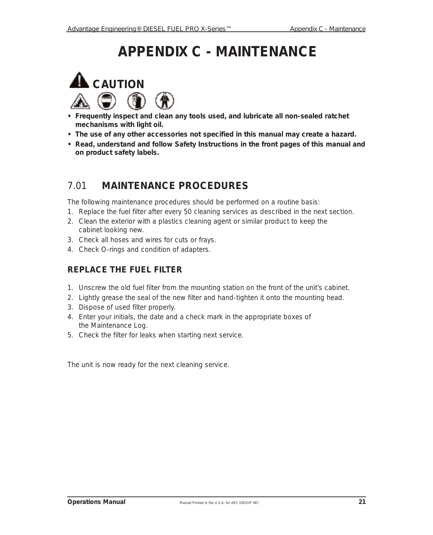# **APPENDIX C - MAINTENANCE**



- **Frequently inspect and clean any tools used, and lubricate all non-sealed ratchet mechanisms with light oil.**
- **The use of any other accessories not specified in this manual may create a hazard.**
- **Read, understand and follow Safety Instructions in the front pages of this manual and on product safety labels.**

#### *7.01* **MAINTENANCE PROCEDURES**

The following maintenance procedures should be performed on a routine basis:

- 1. Replace the fuel filter after every 50 cleaning services as described in the next section.
- 2. Clean the exterior with a plastics cleaning agent or similar product to keep the cabinet looking new.
- 3. Check all hoses and wires for cuts or frays.
- 4. Check O-rings and condition of adapters.

#### **REPLACE THE FUEL FILTER**

- 1. Unscrew the old fuel filter from the mounting station on the front of the unit's cabinet.
- 2. Lightly grease the seal of the new filter and hand-tighten it onto the mounting head.
- 3. Dispose of used filter properly.
- 4. Enter your initials, the date and a check mark in the appropriate boxes of the Maintenance Log.
- 5. Check the filter for leaks when starting next service.

The unit is now ready for the next cleaning service.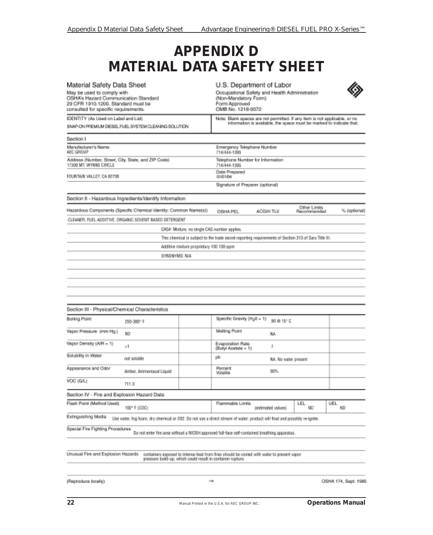### **APPENDIX D MATERIAL DATA SAFETY SHEET**

| Material Safety Data Sheet                                                                                                                       |                                                                                                                           |                                              | U.S. Department of Labor                                                                                    |                         |                             |              |  |
|--------------------------------------------------------------------------------------------------------------------------------------------------|---------------------------------------------------------------------------------------------------------------------------|----------------------------------------------|-------------------------------------------------------------------------------------------------------------|-------------------------|-----------------------------|--------------|--|
| May be used to comply with<br>OSHA's Hazard Communication Standard<br>29 CFR 1910.1200. Standard must be<br>consulted for specific requirements. |                                                                                                                           |                                              | Occupational Safety and Health Administration<br>(Non-Mandatory Form)<br>Form Approved<br>OMB No. 1218-0072 |                         |                             |              |  |
| IDENTITY (As Used on Label and List)                                                                                                             |                                                                                                                           |                                              | Note: Blank spaces are not permitted. If any item is not applicable, or no                                  |                         |                             |              |  |
|                                                                                                                                                  | SNAP-ON PREMIUM DIESEL FUEL SYSTEM CLEANING SOLUTION                                                                      |                                              | information is available, the space must be marked to indicate that.                                        |                         |                             |              |  |
| Section I                                                                                                                                        |                                                                                                                           |                                              |                                                                                                             |                         |                             |              |  |
| Manufacturer's Name<br>AEC GROUP                                                                                                                 |                                                                                                                           |                                              | Emergency Telephone Number<br>714/444-1395                                                                  |                         |                             |              |  |
| Address (Number, Street, City, State, and ZIP Code)<br>17308 MT. WYNNE CIRCLE                                                                    |                                                                                                                           |                                              | Telephone Number for Information<br>714/444-1395                                                            |                         |                             |              |  |
| FOUNTAIN VALLEY, CA 92708                                                                                                                        |                                                                                                                           |                                              | Date Prepared<br>01/01/04                                                                                   |                         |                             |              |  |
|                                                                                                                                                  |                                                                                                                           |                                              | Signature of Preparer (optional)                                                                            |                         |                             |              |  |
|                                                                                                                                                  | Section II - Hazardous Ingredients/Identify Information                                                                   |                                              |                                                                                                             |                         |                             |              |  |
|                                                                                                                                                  | Hazardous Components (Specific Chemical Identity; Common Name(s))                                                         |                                              | OSHA PEL                                                                                                    | ACGIH TLV               | Other Limits<br>Recommended | % (optional) |  |
|                                                                                                                                                  | CLEANER, FUEL ADDITIVE, ORGANIC SOVENT BASED DETERGENT                                                                    |                                              |                                                                                                             |                         |                             |              |  |
|                                                                                                                                                  |                                                                                                                           | CASA: Mixture, no single CAS number applies. |                                                                                                             |                         |                             |              |  |
|                                                                                                                                                  |                                                                                                                           |                                              | This chemical is subject to the trade secret reporting requirements of Section 313 of Sara Title III.       |                         |                             |              |  |
|                                                                                                                                                  |                                                                                                                           | Additive mixture proprietary 100 100-ppm     |                                                                                                             |                         |                             |              |  |
|                                                                                                                                                  | SYNONYMS: N/A                                                                                                             |                                              |                                                                                                             |                         |                             |              |  |
| Section III - Physical/Chemical Characteristics                                                                                                  |                                                                                                                           |                                              |                                                                                                             |                         |                             |              |  |
|                                                                                                                                                  |                                                                                                                           |                                              |                                                                                                             |                         |                             |              |  |
| Boiling Point                                                                                                                                    | 250-380°F                                                                                                                 |                                              | Specific Gravity (H <sub>2</sub> 0 = 1)                                                                     | .90 @ 15 <sup>1</sup> C |                             |              |  |
| Vapor Pressure (mm Hg.)                                                                                                                          | ND                                                                                                                        |                                              | Melting Point                                                                                               | NA                      |                             |              |  |
| Vapor Density (AIR = 1)                                                                                                                          | 21                                                                                                                        |                                              | Evaporation Rate<br>(Bufyl Acetate = 1)                                                                     | .1                      |                             |              |  |
| Solubility in Water                                                                                                                              | not saluble                                                                                                               |                                              | ph                                                                                                          |                         | NA. No water present        |              |  |
| Appearance and Odor                                                                                                                              | Amber, Ammoniacal Liquid                                                                                                  |                                              | Percent<br>Volatilla                                                                                        | 90%                     |                             |              |  |
| VOC (G/L)                                                                                                                                        | 711.3                                                                                                                     |                                              |                                                                                                             |                         |                             |              |  |
| Section IV - Fire and Explosion Hazard Data                                                                                                      |                                                                                                                           |                                              |                                                                                                             |                         |                             |              |  |
| Fissh Point (Method Used)                                                                                                                        | 192 F (COC)                                                                                                               |                                              | Flammable Limits                                                                                            | (estimated values)      | LEL.<br>ND.                 | UEL<br>ND.   |  |
| Extinguishing Media                                                                                                                              | Use water, fog foam, dry chemical or CO2. Do not use a direct stream of water; product will float and possibly re-ignite. |                                              |                                                                                                             |                         |                             |              |  |
| Special Fire Fighting Procedures                                                                                                                 |                                                                                                                           |                                              | Do not enter fire area without a MIOSH approved full-face self-contained breathing apparatus.               |                         |                             |              |  |
|                                                                                                                                                  |                                                                                                                           |                                              |                                                                                                             |                         |                             |              |  |
| Unusual Fire and Explosion Hazards                                                                                                               | pressure build-up, which could result in container rupture.                                                               |                                              | containers exposed to intense heat from fires should be cooled with water to prevent vapor                  |                         |                             |              |  |
|                                                                                                                                                  |                                                                                                                           |                                              |                                                                                                             |                         |                             |              |  |

OSHA 174, Sept. 1985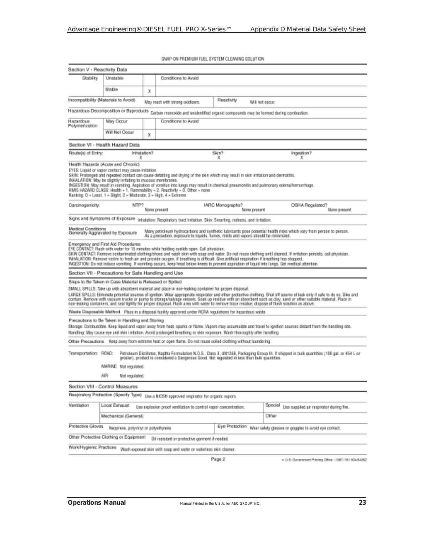SNAP-ON PREMIUM FUEL SYSTEM CLEANING SOLUTION Section V - Reactivity Data Stability Unstable Conditions to Avoid Stable X Incompetibility (Materials to Avoid) Reactivity May react with strong coidizers. Will not essue Hazardous Decomposition or Byproducts Carbon monoide and unidentified organic compounds may be formed during combustion. Hazardous Conditions to Avoid May Occur Polymerization Will Not Occur  $\boldsymbol{\mathsf{x}}$ Section VI - Health Hazard Data Route(s) of Entry: Inhalation? Skin Ingestion? x × Health Hazards (Acute and Chronic) EYES: Liquid or vapor contact may cause initation. SKIN: Prolonged and repeated contact can cause defatting and drying of the skin which may result in skin initation and dermatitis. INHALATION: May be slightly irritating to mucous membranes. INGESTION: May result in vomiting. Aspiration of vomitus into lungs may result in chemical preumonitis and pulmonary edema/hemonitage. HMIS HAZARD CLASS: Health = 1, Flammability = 2, Reactivity = 0, Other = none Ranking: O = Least, 1 = Slight, 2 = Moderate, 3 = High, 4 = Extreme Carcinogenicity: IARC Monographs? OSHA Regulated? NTP? None present None present None present Signs and Symptoms of Exposure Inhalation: Respiratory tract initation. Skin: Smarting, retiress, and initation. Medical Conditions<br>Generally Aggravated by Exposure Many petroleum hydrocarbons and synfhetic lubricants pose potential health risks which vary from person to person.<br>As a precaution, exposure to liquids, furnes, mists and vapors should be minimized. Emergency and First Aid Procedures<br>EYE CONTACT: Rush with water for 15 minutes while holding eyelids open. Call physician. SKIN CONTACT: Remove contaminated dicthing/shoes and wash skin with soap and water. Do not reuse clothing until disaned. If initiation persists, call physician.<br>INHALATION: Remove victim to fresh air and provide coggen, if INGESTION: Do not induce vorniting. If varriting occurs, keep head below knees to prevent aspiration of liquid into lungs. Get medical attention. Section VII - Precautions for Safe Handling and Use Steps to Be Taken in Case Material is Released or Spilled SMALL SPILLS: Take up with absorbent material and place in non-leaking container for proper disposal. LARGE SPILLS: Eliminals potential sources of ignition. Wear appropriate respirator and other protective diothing. Shut off source of leak only if sale to do so. Dike and<br>contain, Remove with vacuum trucks or pump to storag Waste Disposable Method Place in a disposal facility approved under ROPA regulations for hazardous waste Precautions to Be Taken in Handling and Storing Storage: Combustible, Keep liquid and vapor away from heat, sparks or flame. Vapors may accumulate and travel to ignition sources distant from the handling site. Handling: May cause eye and skin irritation. Avoid prolonged breathing or skin exposure. Wash thoroughly after handling. Other Preceutions Keep away from edgene heat or open flame. Do not reuse solied clothing without laundering. Transportation: ROAD: Petroleum Distillates, Naptha Formulation N.O.S., Class 3, UN1268, Packaging Group III. If shipped in bulk quantities (100 gal. or 454 L or greater), product is considered a Dangerous Good. Not regulated in less than bulk quantities MARINE: Not regulated. AIR Not regulated. Section VIII - Control Measures Respiratory Protection (Specify Type) Use a NICSH approved respirator for organic vapors. Ventilation Local Exhaust Special Use supplied air respirator during fire. Use explosion proof ventilation to control vapor concentration. Mechanical (General) Other Protective Gloves Eye Protection Wear safety glasses or poggles to avoid eye contact. Neoprana, polyvinyl or polyethylene Other Protective Clothing or Equipment [6] resistant or protective garment if needed. Work/Hygienic Practices Wash exposed skin with scup and water or waterless skin cleaner. Page 2 \* U.S. Gevernment Printing Office : 1987-181-504/64382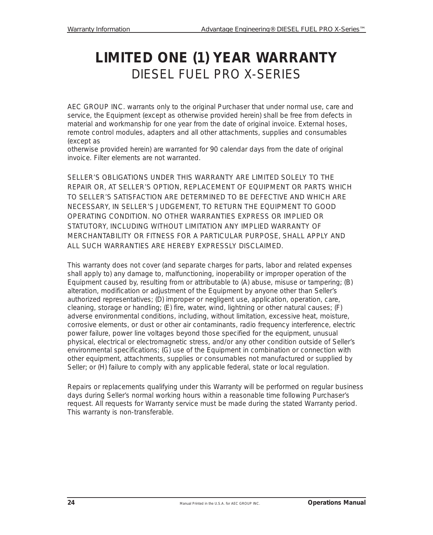## **LIMITED ONE (1) YEAR WARRANTY** DIESEL FUEL PRO X-SERIES

AEC GROUP INC. warrants only to the original Purchaser that under normal use, care and service, the Equipment (except as otherwise provided herein) shall be free from defects in material and workmanship for one year from the date of original invoice. External hoses, remote control modules, adapters and all other attachments, supplies and consumables (except as

otherwise provided herein) are warranted for 90 calendar days from the date of original invoice. Filter elements are not warranted.

SELLER'S OBLIGATIONS UNDER THIS WARRANTY ARE LIMITED SOLELY TO THE REPAIR OR, AT SELLER'S OPTION, REPLACEMENT OF EQUIPMENT OR PARTS WHICH TO SELLER'S SATISFACTION ARE DETERMINED TO BE DEFECTIVE AND WHICH ARE NECESSARY, IN SELLER'S JUDGEMENT, TO RETURN THE EQUIPMENT TO GOOD OPERATING CONDITION. NO OTHER WARRANTIES EXPRESS OR IMPLIED OR STATUTORY, INCLUDING WITHOUT LIMITATION ANY IMPLIED WARRANTY OF MERCHANTABILITY OR FITNESS FOR A PARTICULAR PURPOSE, SHALL APPLY AND ALL SUCH WARRANTIES ARE HEREBY EXPRESSLY DISCLAIMED.

This warranty does not cover (and separate charges for parts, labor and related expenses shall apply to) any damage to, malfunctioning, inoperability or improper operation of the Equipment caused by, resulting from or attributable to (A) abuse, misuse or tampering; (B) alteration, modification or adjustment of the Equipment by anyone other than Seller's authorized representatives; (D) improper or negligent use, application, operation, care, cleaning, storage or handling; (E) fire, water, wind, lightning or other natural causes; (F) adverse environmental conditions, including, without limitation, excessive heat, moisture, corrosive elements, or dust or other air contaminants, radio frequency interference, electric power failure, power line voltages beyond those specified for the equipment, unusual physical, electrical or electromagnetic stress, and/or any other condition outside of Seller's environmental specifications; (G) use of the Equipment in combination or connection with other equipment, attachments, supplies or consumables not manufactured or supplied by Seller; or (H) failure to comply with any applicable federal, state or local regulation.

Repairs or replacements qualifying under this Warranty will be performed on regular business days during Seller's normal working hours within a reasonable time following Purchaser's request. All requests for Warranty service must be made during the stated Warranty period. This warranty is non-transferable.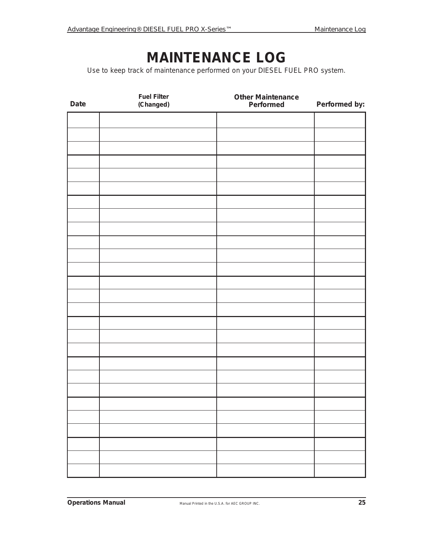## **MAINTENANCE LOG**

Use to keep track of maintenance performed on your DIESEL FUEL PRO system.

| Date | <b>Fuel Filter</b><br>(Changed) | <b>Other Maintenance</b><br>Performed | Performed by: |
|------|---------------------------------|---------------------------------------|---------------|
|      |                                 |                                       |               |
|      |                                 |                                       |               |
|      |                                 |                                       |               |
|      |                                 |                                       |               |
|      |                                 |                                       |               |
|      |                                 |                                       |               |
|      |                                 |                                       |               |
|      |                                 |                                       |               |
|      |                                 |                                       |               |
|      |                                 |                                       |               |
|      |                                 |                                       |               |
|      |                                 |                                       |               |
|      |                                 |                                       |               |
|      |                                 |                                       |               |
|      |                                 |                                       |               |
|      |                                 |                                       |               |
|      |                                 |                                       |               |
|      |                                 |                                       |               |
|      |                                 |                                       |               |
|      |                                 |                                       |               |
|      |                                 |                                       |               |
|      |                                 |                                       |               |
|      |                                 |                                       |               |
|      |                                 |                                       |               |
|      |                                 |                                       |               |
|      |                                 |                                       |               |